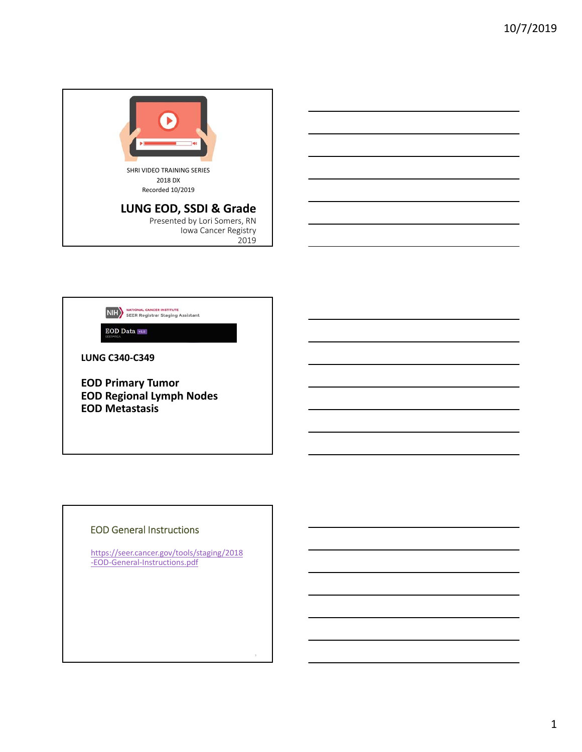



EOD Data vi.s

**LUNG C340‐C349**

**EOD Primary Tumor EOD Regional Lymph Nodes EOD Metastasis**

#### EOD General Instructions

https://seer.cancer.gov/tools/staging/2018 ‐EOD‐General‐Instructions.pdf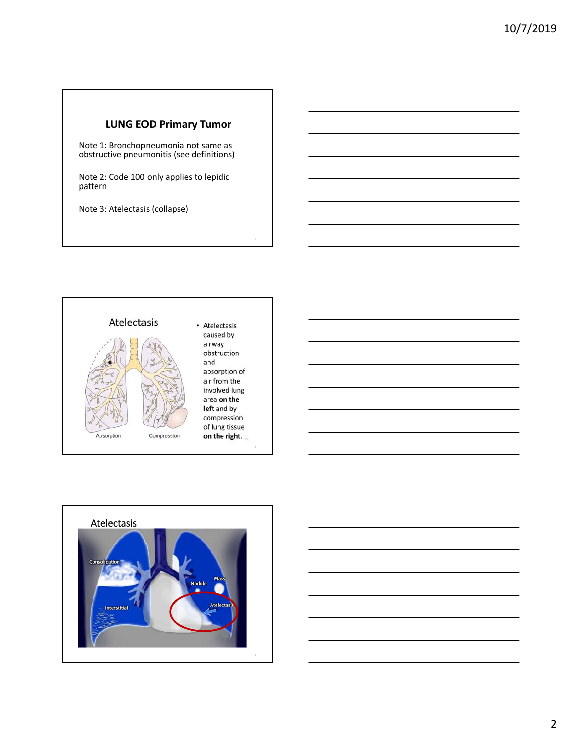#### **LUNG EOD Primary Tumor**

Note 1: Bronchopneumonia not same as obstructive pneumonitis (see definitions)

Note 2: Code 100 only applies to lepidic pattern

Note 3: Atelectasis (collapse)





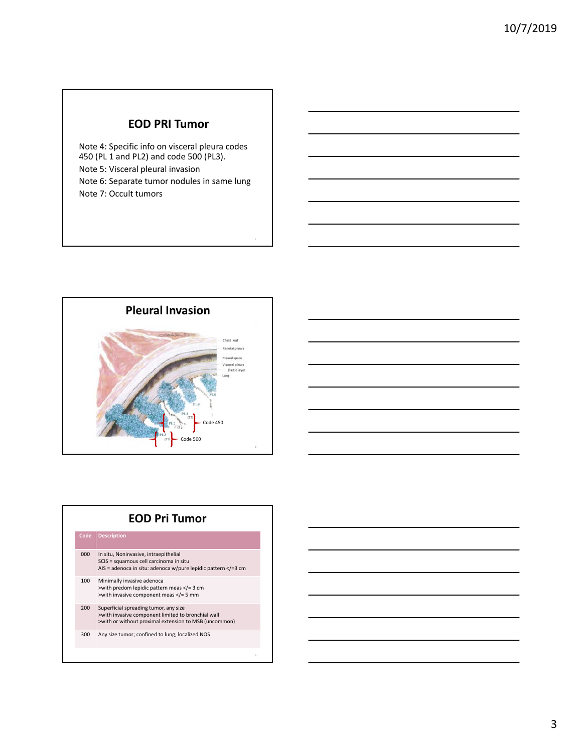## **EOD PRI Tumor**

Note 4: Specific info on visceral pleura codes 450 (PL 1 and PL2) and code 500 (PL3). Note 5: Visceral pleural invasion Note 6: Separate tumor nodules in same lung Note 7: Occult tumors



## **EOD Pri Tumor Code Description** 000 In situ, Noninvasive, intraepithelial SCIS = squamous cell carcinoma in situ AIS = adenoca in situ: adenoca w/pure lepidic pattern </=3 cm 100 Minimally invasive adenoca >with predom lepidic pattern meas </= 3 cm >with invasive component meas </= 5 mm 200 Superficial spreading tumor, any size >with invasive component limited to bronchial wall >with or without proximal extension to MSB (uncommon) 300 Any size tumor; confined to lung; localized NOS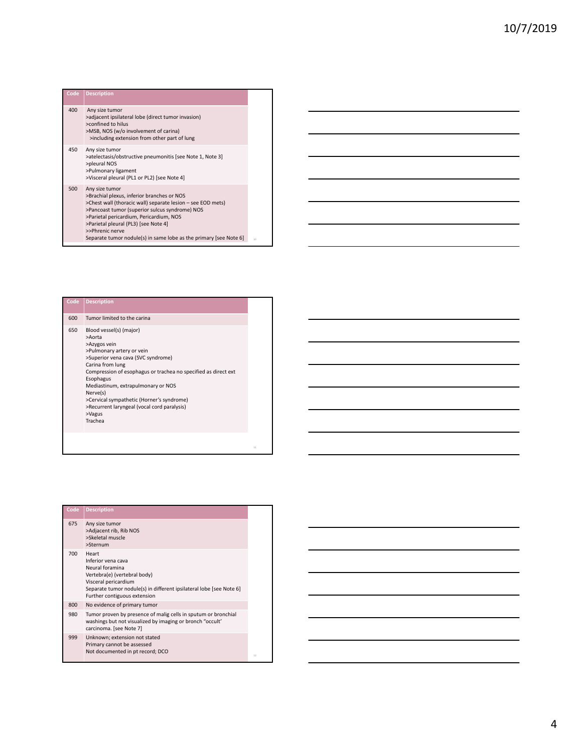| Code | <b>Description</b>                                                                                                                                                                                                                                                                                                                                       |
|------|----------------------------------------------------------------------------------------------------------------------------------------------------------------------------------------------------------------------------------------------------------------------------------------------------------------------------------------------------------|
| 400  | Any size tumor<br>>adjacent ipsilateral lobe (direct tumor invasion)<br>>confined to hilus<br>>MSB, NOS (w/o involvement of carina)<br>>including extension from other part of lung                                                                                                                                                                      |
| 450  | Any size tumor<br>>atelectasis/obstructive pneumonitis [see Note 1, Note 3]<br>>pleural NOS<br>>Pulmonary ligament<br>>Visceral pleural (PL1 or PL2) [see Note 4]                                                                                                                                                                                        |
| 500  | Any size tumor<br>>Brachial plexus, inferior branches or NOS<br>>Chest wall (thoracic wall) separate lesion - see EOD mets)<br>>Pancoast tumor (superior sulcus syndrome) NOS<br>>Parietal pericardium, Pericardium, NOS<br>>Parietal pleural (PL3) [see Note 4]<br>>>Phrenic nerve<br>Separate tumor nodule(s) in same lobe as the primary [see Note 6] |

| Code | <b>Description</b>                                                                                                                                                                                                                                                                                                                                                                         |
|------|--------------------------------------------------------------------------------------------------------------------------------------------------------------------------------------------------------------------------------------------------------------------------------------------------------------------------------------------------------------------------------------------|
| 600  | Tumor limited to the carina                                                                                                                                                                                                                                                                                                                                                                |
| 650  | Blood vessel(s) (major)<br>>Aorta<br>>Azygos vein<br>>Pulmonary artery or vein<br>>Superior vena cava (SVC syndrome)<br>Carina from lung<br>Compression of esophagus or trachea no specified as direct ext<br>Esophagus<br>Mediastinum, extrapulmonary or NOS<br>Nerve(s)<br>>Cervical sympathetic (Horner's syndrome)<br>>Recurrent laryngeal (vocal cord paralysis)<br>>Vagus<br>Trachea |
|      |                                                                                                                                                                                                                                                                                                                                                                                            |

11

| Code | <b>Description</b>                                                                                                                                                                                            |
|------|---------------------------------------------------------------------------------------------------------------------------------------------------------------------------------------------------------------|
| 675  | Any size tumor<br>>Adjacent rib, Rib NOS<br>>Skeletal muscle<br>>Sternum                                                                                                                                      |
| 700  | Heart<br>Inferior vena cava<br>Neural foramina<br>Vertebra(e) (vertebral body)<br>Visceral pericardium<br>Separate tumor nodule(s) in different ipsilateral lobe [see Note 6]<br>Further contiguous extension |
| 800  | No evidence of primary tumor                                                                                                                                                                                  |
| 980  | Tumor proven by presence of malig cells in sputum or bronchial<br>washings but not visualized by imaging or bronch "occult"<br>carcinoma. [see Note 7]                                                        |
| 999  | Unknown; extension not stated<br>Primary cannot be assessed<br>Not documented in pt record; DCO                                                                                                               |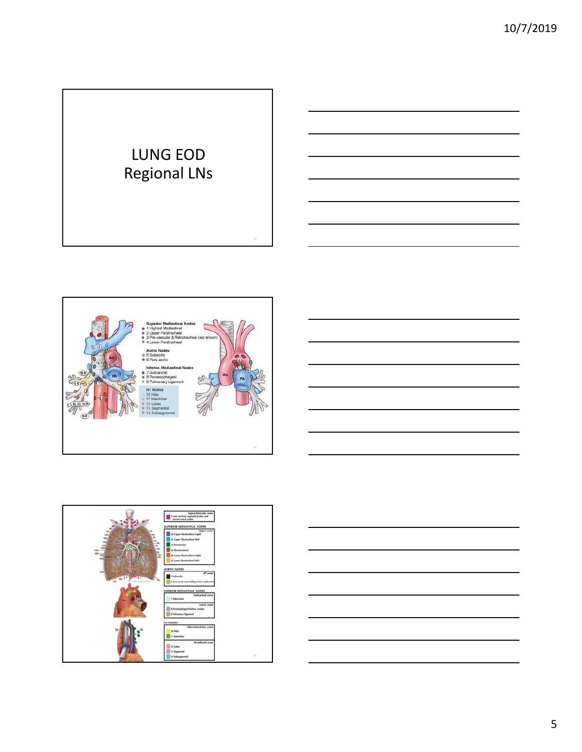# LUNG EOD Regional LNs





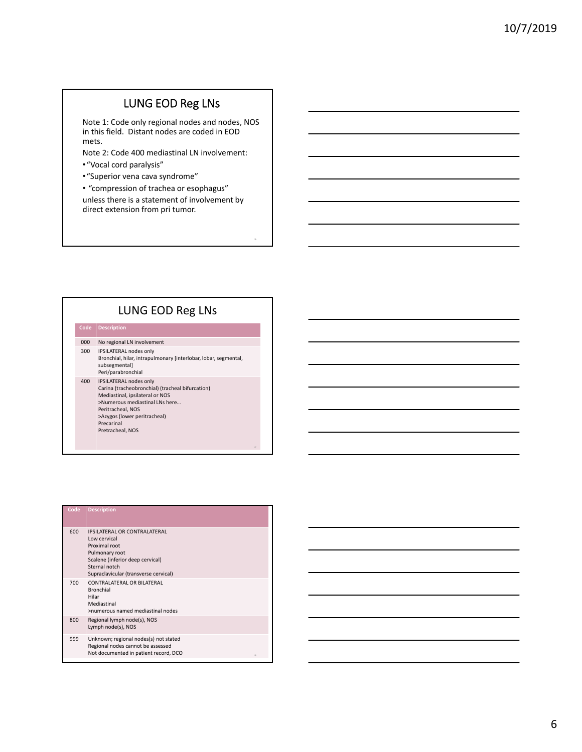## LUNG EOD Reg LNs

Note 1: Code only regional nodes and nodes, NOS in this field. Distant nodes are coded in EOD mets.

Note 2: Code 400 mediastinal LN involvement:

- •"Vocal cord paralysis"
- •"Superior vena cava syndrome"
- "compression of trachea or esophagus"

unless there is a statement of involvement by direct extension from pri tumor.

#### LUNG EOD Reg LNs

# **Code Description**

- 000 No regional LN involvement 300 IPSILATERAL nodes only
- Bronchial, hilar, intrapulmonary [interlobar, lobar, segmental, subsegmental] Peri/parabronchial
- 400 IPSILATERAL nodes only Carina (tracheobronchial) (tracheal bifurcation) Mediastinal, ipsilateral or NOS >Numerous mediastinal LNs here…

Peritracheal, NOS >Azygos (lower peritracheal) Precarinal

Pretracheal, NOS

L

| Code | <b>Description</b>                                                                                                                                                                   |
|------|--------------------------------------------------------------------------------------------------------------------------------------------------------------------------------------|
| 600  | <b>IPSILATERAL OR CONTRALATERAL</b><br>Low cervical<br>Proximal root<br>Pulmonary root<br>Scalene (inferior deep cervical)<br>Sternal notch<br>Supraclavicular (transverse cervical) |
| 700  | CONTRALATERAL OR BILATERAL<br><b>Bronchial</b><br>Hilar<br>Mediastinal<br>>numerous named mediastinal nodes                                                                          |
| 800  | Regional lymph node(s), NOS<br>Lymph node(s), NOS                                                                                                                                    |
| 999  | Unknown; regional nodes(s) not stated<br>Regional nodes cannot be assessed<br>Not documented in patient record, DCO<br>18                                                            |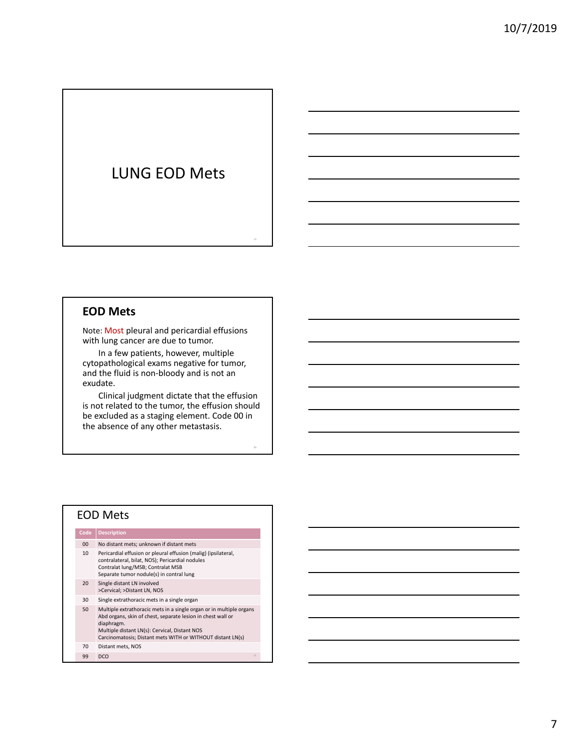## LUNG EOD Mets

#### **EOD Mets**

Note: Most pleural and pericardial effusions with lung cancer are due to tumor.

In a few patients, however, multiple cytopathological exams negative for tumor, and the fluid is non‐bloody and is not an exudate.

Clinical judgment dictate that the effusion is not related to the tumor, the effusion should be excluded as a staging element. Code 00 in the absence of any other metastasis.

20

#### EOD Mets

| Code            | <b>Description</b>                                                                                                                                                                                                                                              |
|-----------------|-----------------------------------------------------------------------------------------------------------------------------------------------------------------------------------------------------------------------------------------------------------------|
| 0 <sup>0</sup>  | No distant mets; unknown if distant mets                                                                                                                                                                                                                        |
| 10 <sup>2</sup> | Pericardial effusion or pleural effusion (malig) (ipsilateral,<br>contralateral, bilat, NOS); Pericardial nodules<br>Contralat lung/MSB; Contralat MSB<br>Separate tumor nodule(s) in contral lung                                                              |
| 20              | Single distant LN involved<br>>Cervical; >Distant LN, NOS                                                                                                                                                                                                       |
| 30              | Single extrathoracic mets in a single organ                                                                                                                                                                                                                     |
| 50              | Multiple extrathoracic mets in a single organ or in multiple organs<br>Abd organs, skin of chest, separate lesion in chest wall or<br>diaphragm.<br>Multiple distant LN(s): Cervical, Distant NOS<br>Carcinomatosis; Distant mets WITH or WITHOUT distant LN(s) |
| 70              | Distant mets, NOS                                                                                                                                                                                                                                               |

99 DCO  $\frac{1}{21}$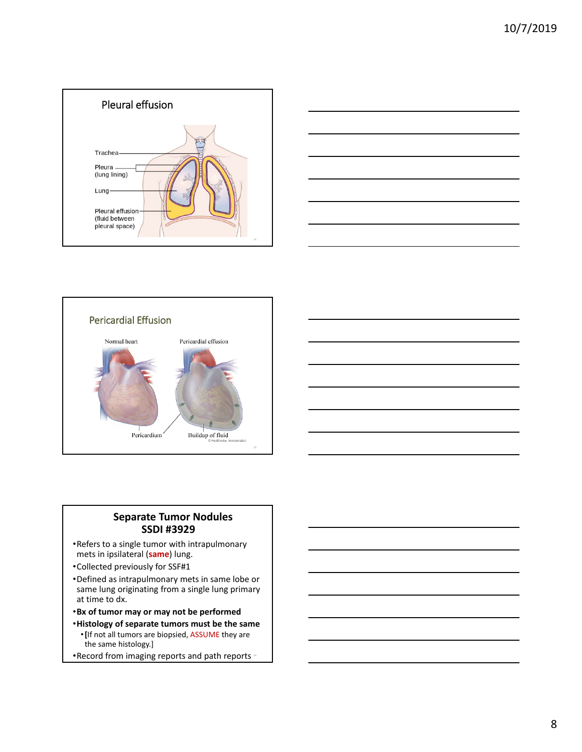







#### **Separate Tumor Nodules SSDI #3929**

- •Refers to a single tumor with intrapulmonary mets in ipsilateral (**same**) lung.
- •Collected previously for SSF#1
- •Defined as intrapulmonary mets in same lobe or same lung originating from a single lung primary at time to dx.
- •**Bx of tumor may or may not be performed**
- •**Histology of separate tumors must be the same** •**[**If not all tumors are biopsied, ASSUME they are the same histology.]
- Record from imaging reports and path reports \*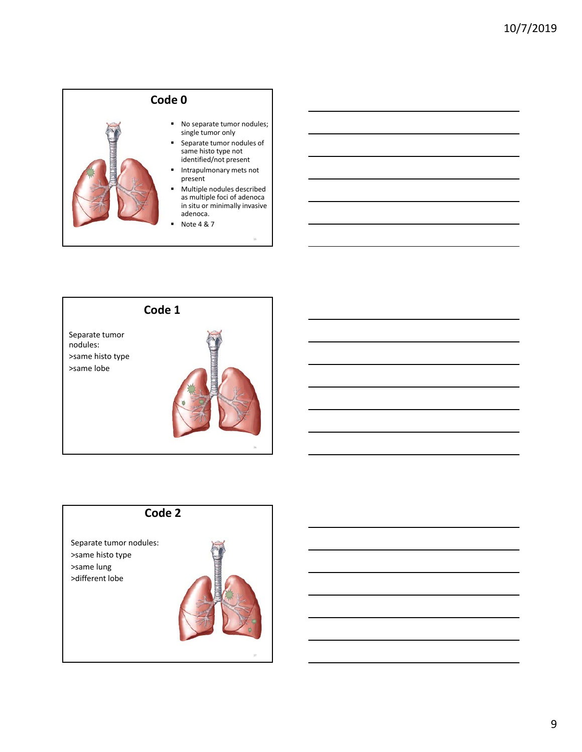



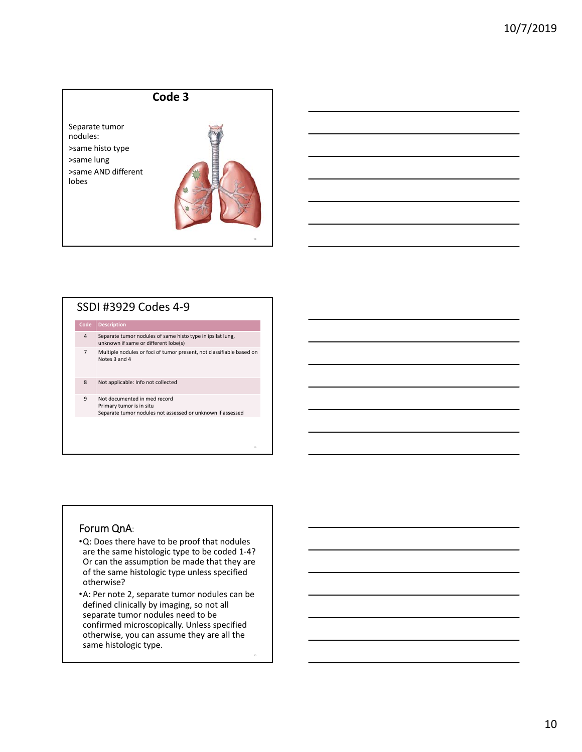



#### SSDI #3929 Codes 4‐9

**Code Description**

- 4 Separate tumor nodules of same histo type in ipsilat lung, unknown if same or different lobe(s)
- 7 Multiple nodules or foci of tumor present, not classifiable based on Notes 3 and 4

8 Not applicable: Info not collected

9 Not documented in med record Primary tumor is in situ Separate tumor nodules not assessed or unknown if assessed

#### Forum QnA:

- •Q: Does there have to be proof that nodules are the same histologic type to be coded 1‐4? Or can the assumption be made that they are of the same histologic type unless specified otherwise?
- •A: Per note 2, separate tumor nodules can be defined clinically by imaging, so not all separate tumor nodules need to be confirmed microscopically. Unless specified otherwise, you can assume they are all the same histologic type.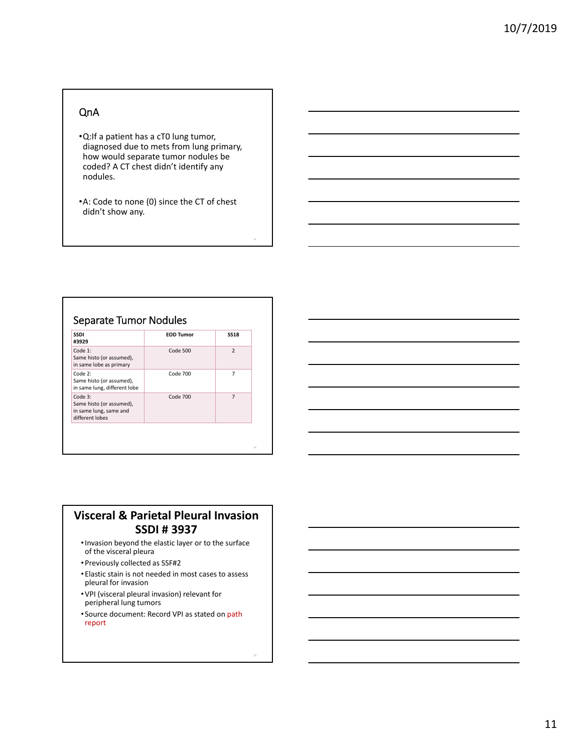#### QnA

- •Q:If a patient has a cT0 lung tumor, diagnosed due to mets from lung primary, how would separate tumor nodules be coded? A CT chest didn't identify any nodules.
- •A: Code to none (0) since the CT of chest didn't show any.

## Separate Tumor Nodules

| $\mathcal{P}$<br>Code 1:<br>Code 500<br>Same histo (or assumed),<br>in same lobe as primary<br>$Code$ $700$<br>Code 2:<br>7<br>Same histo (or assumed),<br>in same lung, different lobe<br>Code 700<br>$\overline{7}$<br>Code 3:<br>Same histo (or assumed),<br>in same lung, same and | <b>SSDI</b><br>#3929 | <b>EOD Tumor</b> | <b>SS18</b> |
|----------------------------------------------------------------------------------------------------------------------------------------------------------------------------------------------------------------------------------------------------------------------------------------|----------------------|------------------|-------------|
|                                                                                                                                                                                                                                                                                        |                      |                  |             |
|                                                                                                                                                                                                                                                                                        |                      |                  |             |
| different lobes                                                                                                                                                                                                                                                                        |                      |                  |             |

#### **Visceral & Parietal Pleural Invasion SSDI # 3937**

- •Invasion beyond the elastic layer or to the surface of the visceral pleura
- •Previously collected as SSF#2
- Elastic stain is not needed in most cases to assess pleural for invasion
- •VPI (visceral pleural invasion) relevant for peripheral lung tumors
- Source document: Record VPI as stated on path report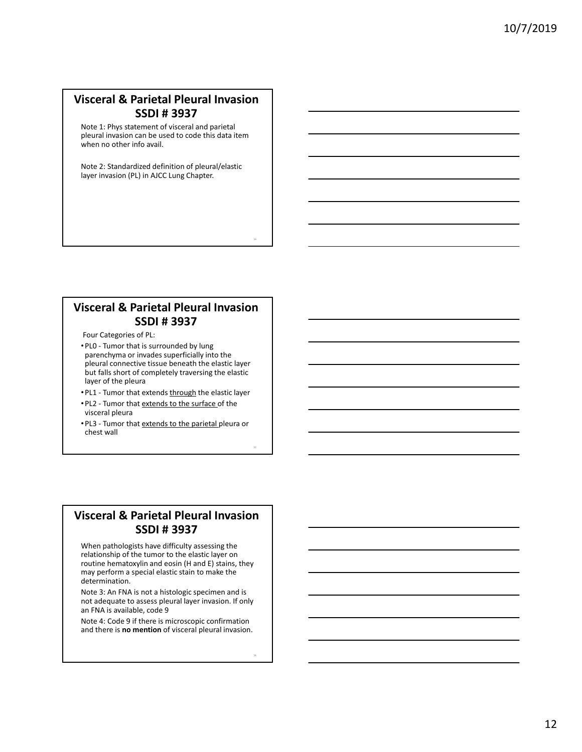## **Visceral & Parietal Pleural Invasion SSDI # 3937**

Note 1: Phys statement of visceral and parietal pleural invasion can be used to code this data item when no other info avail.

Note 2: Standardized definition of pleural/elastic layer invasion (PL) in AJCC Lung Chapter.

#### **Visceral & Parietal Pleural Invasion SSDI # 3937**

Four Categories of PL:

- •PL0 ‐ Tumor that is surrounded by lung parenchyma or invades superficially into the pleural connective tissue beneath the elastic layer but falls short of completely traversing the elastic layer of the pleura
- PL1 Tumor that extends through the elastic layer
- •PL2 ‐ Tumor that extends to the surface of the visceral pleura
- PL3 Tumor that extends to the parietal pleura or chest wall

#### **Visceral & Parietal Pleural Invasion SSDI # 3937**

When pathologists have difficulty assessing the relationship of the tumor to the elastic layer on routine hematoxylin and eosin (H and E) stains, they may perform a special elastic stain to make the determination.

Note 3: An FNA is not a histologic specimen and is not adequate to assess pleural layer invasion. If only an FNA is available, code 9

Note 4: Code 9 if there is microscopic confirmation and there is **no mention** of visceral pleural invasion.

36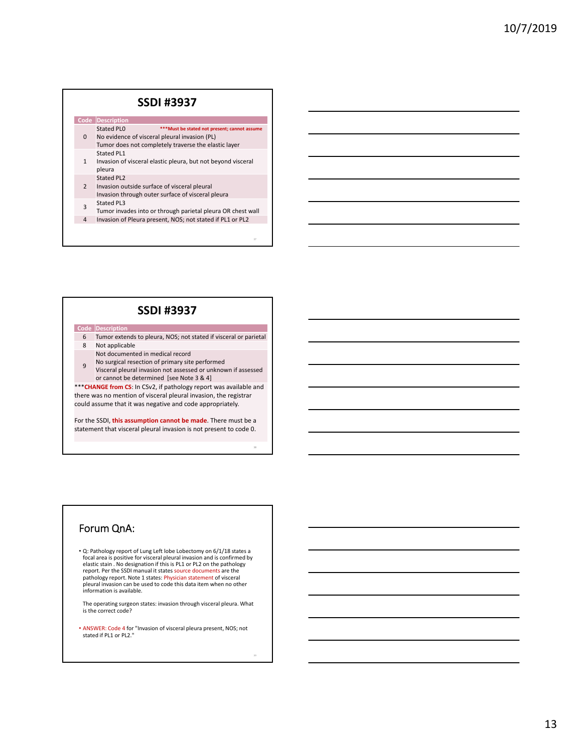#### **SSDI #3937**

| Code           | Description                                                                                                                                                          |
|----------------|----------------------------------------------------------------------------------------------------------------------------------------------------------------------|
| 0              | Stated PLO<br>*** Must be stated not present; cannot assume<br>No evidence of visceral pleural invasion (PL)<br>Tumor does not completely traverse the elastic layer |
| 1              | Stated PL1<br>Invasion of visceral elastic pleura, but not beyond visceral<br>pleura                                                                                 |
| $\overline{2}$ | Stated PL2<br>Invasion outside surface of visceral pleural<br>Invasion through outer surface of visceral pleura                                                      |
| 3              | Stated PL3<br>Tumor invades into or through parietal pleura OR chest wall                                                                                            |
| 4              | Invasion of Pleura present, NOS; not stated if PL1 or PL2                                                                                                            |

#### **SSDI #3937**

#### **Code Description**

- 6 Tumor extends to pleura, NOS; not stated if visceral or parietal 8 Not applicable
- Not documented in medical record
- 9 No surgical resection of primary site performed Visceral pleural invasion not assessed or unknown if assessed or cannot be determined [see Note 3 & 4]

\*\*\***CHANGE from CS**: In CSv2, if pathology report was available and there was no mention of visceral pleural invasion, the registrar could assume that it was negative and code appropriately.

For the SSDI, **this assumption cannot be made**. There must be a statement that visceral pleural invasion is not present to code 0.

38

#### Forum QnA:

• Q: Pathology report of Lung Left lobe Lobectomy on 6/1/18 states a focal area is positive for visceral pleural invasion and is confirmed by elastic stain . No designation if this is PL1 or PL2 on the pathology report. Per the SSDI manual it states source documents are the pathology report. Note 1 states: Physician statement of visceral<br>pleural invasion can be used to code this data item when no other<br>information is available.

The operating surgeon states: invasion through visceral pleura. What is the correct code?

• ANSWER: Code 4 for "Invasion of visceral pleura present, NOS; not stated if PL1 or PL2."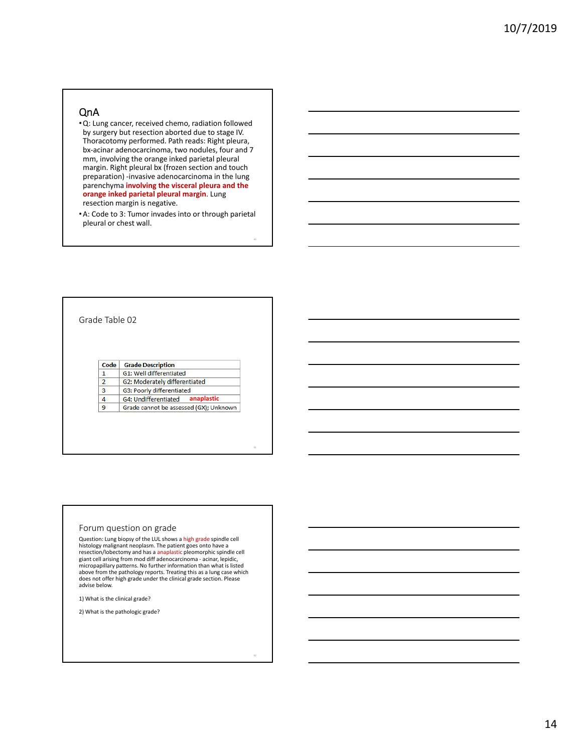#### QnA

•Q: Lung cancer, received chemo, radiation followed by surgery but resection aborted due to stage IV. Thoracotomy performed. Path reads: Right pleura, bx‐acinar adenocarcinoma, two nodules, four and 7 mm, involving the orange inked parietal pleural margin. Right pleural bx (frozen section and touch preparation) ‐invasive adenocarcinoma in the lung parenchyma **involving the visceral pleura and the orange inked parietal pleural margin**. Lung resection margin is negative.

•A: Code to 3: Tumor invades into or through parietal pleural or chest wall.

Grade Table 02

#### Code | Grade Description

 $\mathbf 1$ G1: Well differentiated G2: Moderately differentiated  $\overline{2}$ 

 $\overline{\mathbf{3}}$ G3: Poorly differentiated

 $\overline{4}$ G4: Undifferentiated **anaplastic**

9 Grade cannot be assessed (GX); Unknown

#### Forum question on grade

Question: Lung biopsy of the LUL shows a high grade spindle cell histology malignant neoplasm. The patient goes onto have a<br>resection/lobectomy and has a <mark>anaplasti</mark>c pleomorphic spindle cell giant cell arising from mod diff adenocarcinoma - acinar, lepidic, micropapillary patterns. No further information than what is listed above from the pathology reports. Treating this as a lung case which does not offer high grade under the clinical grade section. Please advise below.

1) What is the clinical grade?

2) What is the pathologic grade?